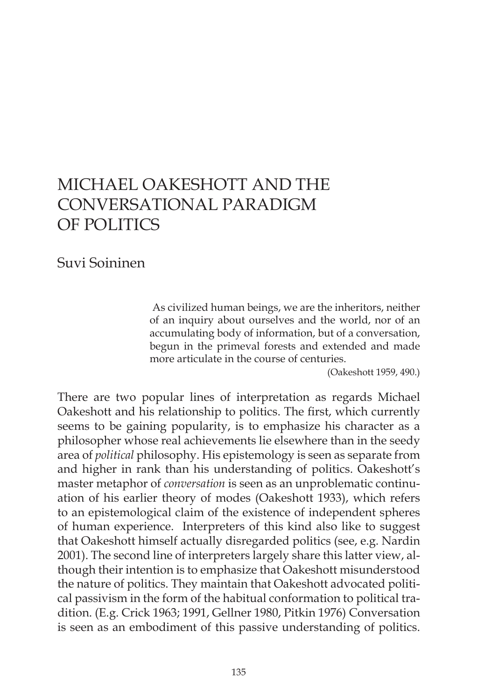# MICHAEL OAKESHOTT AND THE CONVERSATIONAL PARADIGM OF POLITICS

# Suvi Soininen

As civilized human beings, we are the inheritors, neither of an inquiry about ourselves and the world, nor of an accumulating body of information, but of a conversation, begun in the primeval forests and extended and made more articulate in the course of centuries.

(Oakeshott 1959, 490.)

There are two popular lines of interpretation as regards Michael Oakeshott and his relationship to politics. The first, which currently seems to be gaining popularity, is to emphasize his character as a philosopher whose real achievements lie elsewhere than in the seedy area of *political* philosophy. His epistemology is seen as separate from and higher in rank than his understanding of politics. Oakeshott's master metaphor of *conversation* is seen as an unproblematic continuation of his earlier theory of modes (Oakeshott 1933), which refers to an epistemological claim of the existence of independent spheres of human experience. Interpreters of this kind also like to suggest that Oakeshott himself actually disregarded politics (see, e.g. Nardin 2001). The second line of interpreters largely share this latter view, although their intention is to emphasize that Oakeshott misunderstood the nature of politics. They maintain that Oakeshott advocated political passivism in the form of the habitual conformation to political tradition. (E.g. Crick 1963; 1991, Gellner 1980, Pitkin 1976) Conversation is seen as an embodiment of this passive understanding of politics.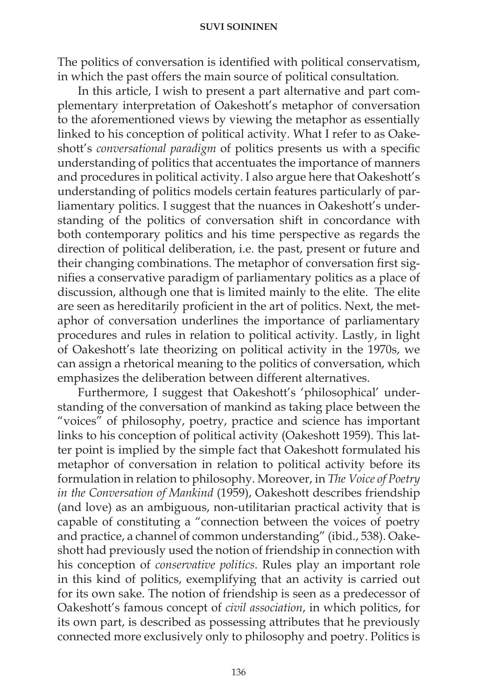The politics of conversation is identified with political conservatism, in which the past offers the main source of political consultation.

In this article, I wish to present a part alternative and part complementary interpretation of Oakeshott's metaphor of conversation to the aforementioned views by viewing the metaphor as essentially linked to his conception of political activity. What I refer to as Oakeshott's *conversational paradigm* of politics presents us with a specific understanding of politics that accentuates the importance of manners and procedures in political activity. I also argue here that Oakeshott's understanding of politics models certain features particularly of parliamentary politics. I suggest that the nuances in Oakeshott's understanding of the politics of conversation shift in concordance with both contemporary politics and his time perspective as regards the direction of political deliberation, i.e. the past, present or future and their changing combinations. The metaphor of conversation first signifies a conservative paradigm of parliamentary politics as a place of discussion, although one that is limited mainly to the elite. The elite are seen as hereditarily proficient in the art of politics. Next, the metaphor of conversation underlines the importance of parliamentary procedures and rules in relation to political activity. Lastly, in light of Oakeshott's late theorizing on political activity in the 1970s, we can assign a rhetorical meaning to the politics of conversation, which emphasizes the deliberation between different alternatives.

Furthermore, I suggest that Oakeshott's 'philosophical' understanding of the conversation of mankind as taking place between the "voices" of philosophy, poetry, practice and science has important links to his conception of political activity (Oakeshott 1959). This latter point is implied by the simple fact that Oakeshott formulated his metaphor of conversation in relation to political activity before its formulation in relation to philosophy. Moreover, in *The Voice of Poetry in the Conversation of Mankind* (1959), Oakeshott describes friendship (and love) as an ambiguous, non-utilitarian practical activity that is capable of constituting a "connection between the voices of poetry and practice, a channel of common understanding" (ibid., 538). Oakeshott had previously used the notion of friendship in connection with his conception of *conservative politics*. Rules play an important role in this kind of politics, exemplifying that an activity is carried out for its own sake. The notion of friendship is seen as a predecessor of Oakeshott's famous concept of *civil association*, in which politics, for its own part, is described as possessing attributes that he previously connected more exclusively only to philosophy and poetry. Politics is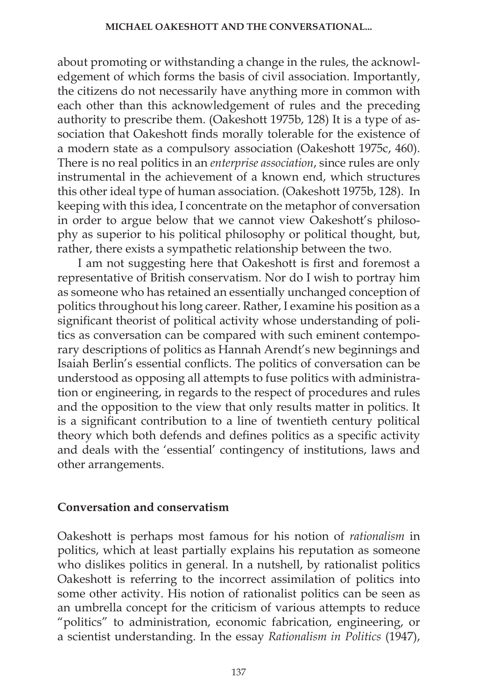about promoting or withstanding a change in the rules, the acknowledgement of which forms the basis of civil association. Importantly, the citizens do not necessarily have anything more in common with each other than this acknowledgement of rules and the preceding authority to prescribe them. (Oakeshott 1975b, 128) It is a type of association that Oakeshott finds morally tolerable for the existence of a modern state as a compulsory association (Oakeshott 1975c, 460). There is no real politics in an *enterprise association*, since rules are only instrumental in the achievement of a known end, which structures this other ideal type of human association. (Oakeshott 1975b, 128). In keeping with this idea, I concentrate on the metaphor of conversation in order to argue below that we cannot view Oakeshott's philosophy as superior to his political philosophy or political thought, but, rather, there exists a sympathetic relationship between the two.

I am not suggesting here that Oakeshott is first and foremost a representative of British conservatism. Nor do I wish to portray him as someone who has retained an essentially unchanged conception of politics throughout his long career. Rather, I examine his position as a significant theorist of political activity whose understanding of politics as conversation can be compared with such eminent contemporary descriptions of politics as Hannah Arendt's new beginnings and Isaiah Berlin's essential conflicts. The politics of conversation can be understood as opposing all attempts to fuse politics with administration or engineering, in regards to the respect of procedures and rules and the opposition to the view that only results matter in politics. It is a significant contribution to a line of twentieth century political theory which both defends and defines politics as a specific activity and deals with the 'essential' contingency of institutions, laws and other arrangements.

## **Conversation and conservatism**

Oakeshott is perhaps most famous for his notion of *rationalism* in politics, which at least partially explains his reputation as someone who dislikes politics in general. In a nutshell, by rationalist politics Oakeshott is referring to the incorrect assimilation of politics into some other activity. His notion of rationalist politics can be seen as an umbrella concept for the criticism of various attempts to reduce "politics" to administration, economic fabrication, engineering, or a scientist understanding. In the essay *Rationalism in Politics* (1947),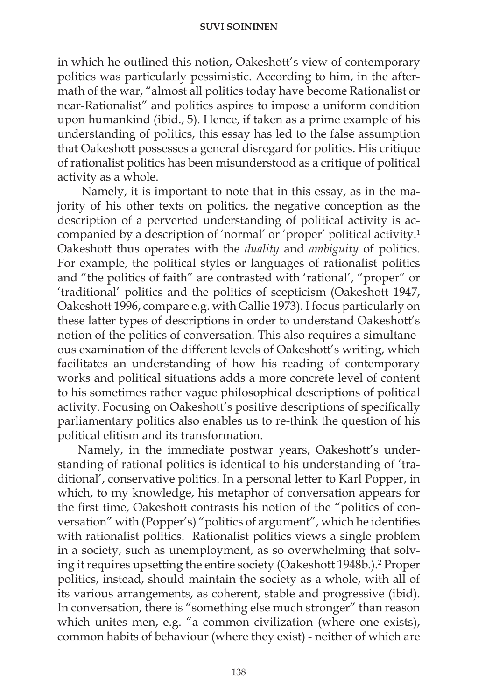in which he outlined this notion, Oakeshott's view of contemporary politics was particularly pessimistic. According to him, in the aftermath of the war, "almost all politics today have become Rationalist or near-Rationalist" and politics aspires to impose a uniform condition upon humankind (ibid., 5). Hence, if taken as a prime example of his understanding of politics, this essay has led to the false assumption that Oakeshott possesses a general disregard for politics. His critique of rationalist politics has been misunderstood as a critique of political activity as a whole.

 Namely, it is important to note that in this essay, as in the majority of his other texts on politics, the negative conception as the description of a perverted understanding of political activity is accompanied by a description of 'normal' or 'proper' political activity.<sup>1</sup> Oakeshott thus operates with the *duality* and *ambiguity* of politics. For example, the political styles or languages of rationalist politics and "the politics of faith" are contrasted with 'rational', "proper" or 'traditional' politics and the politics of scepticism (Oakeshott 1947, Oakeshott 1996, compare e.g. with Gallie 1973). I focus particularly on these latter types of descriptions in order to understand Oakeshott's notion of the politics of conversation. This also requires a simultaneous examination of the different levels of Oakeshott's writing, which facilitates an understanding of how his reading of contemporary works and political situations adds a more concrete level of content to his sometimes rather vague philosophical descriptions of political activity. Focusing on Oakeshott's positive descriptions of specifically parliamentary politics also enables us to re-think the question of his political elitism and its transformation.

Namely, in the immediate postwar years, Oakeshott's understanding of rational politics is identical to his understanding of 'traditional', conservative politics. In a personal letter to Karl Popper, in which, to my knowledge, his metaphor of conversation appears for the first time, Oakeshott contrasts his notion of the "politics of conversation" with (Popper's) "politics of argument", which he identifies with rationalist politics. Rationalist politics views a single problem in a society, such as unemployment, as so overwhelming that solving it requires upsetting the entire society (Oakeshott 1948b.).<sup>2</sup> Proper politics, instead, should maintain the society as a whole, with all of its various arrangements, as coherent, stable and progressive (ibid). In conversation, there is "something else much stronger" than reason which unites men, e.g. "a common civilization (where one exists), common habits of behaviour (where they exist) - neither of which are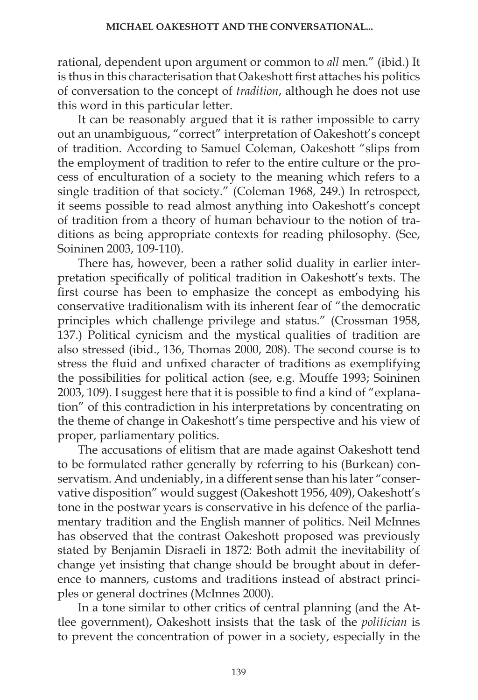rational, dependent upon argument or common to *all* men." (ibid.) It is thus in this characterisation that Oakeshott first attaches his politics of conversation to the concept of *tradition*, although he does not use this word in this particular letter.

It can be reasonably argued that it is rather impossible to carry out an unambiguous, "correct" interpretation of Oakeshott's concept of tradition. According to Samuel Coleman, Oakeshott "slips from the employment of tradition to refer to the entire culture or the process of enculturation of a society to the meaning which refers to a single tradition of that society." (Coleman 1968, 249.) In retrospect, it seems possible to read almost anything into Oakeshott's concept of tradition from a theory of human behaviour to the notion of traditions as being appropriate contexts for reading philosophy. (See, Soininen 2003, 109-110).

There has, however, been a rather solid duality in earlier interpretation specifically of political tradition in Oakeshott's texts. The first course has been to emphasize the concept as embodying his conservative traditionalism with its inherent fear of "the democratic principles which challenge privilege and status." (Crossman 1958, 137.) Political cynicism and the mystical qualities of tradition are also stressed (ibid., 136, Thomas 2000, 208). The second course is to stress the fluid and unfixed character of traditions as exemplifying the possibilities for political action (see, e.g. Mouffe 1993; Soininen 2003, 109). I suggest here that it is possible to find a kind of "explanation" of this contradiction in his interpretations by concentrating on the theme of change in Oakeshott's time perspective and his view of proper, parliamentary politics.

The accusations of elitism that are made against Oakeshott tend to be formulated rather generally by referring to his (Burkean) conservatism. And undeniably, in a different sense than his later "conservative disposition" would suggest (Oakeshott 1956, 409), Oakeshott's tone in the postwar years is conservative in his defence of the parliamentary tradition and the English manner of politics. Neil McInnes has observed that the contrast Oakeshott proposed was previously stated by Benjamin Disraeli in 1872: Both admit the inevitability of change yet insisting that change should be brought about in deference to manners, customs and traditions instead of abstract principles or general doctrines (McInnes 2000).

In a tone similar to other critics of central planning (and the Attlee government), Oakeshott insists that the task of the *politician* is to prevent the concentration of power in a society, especially in the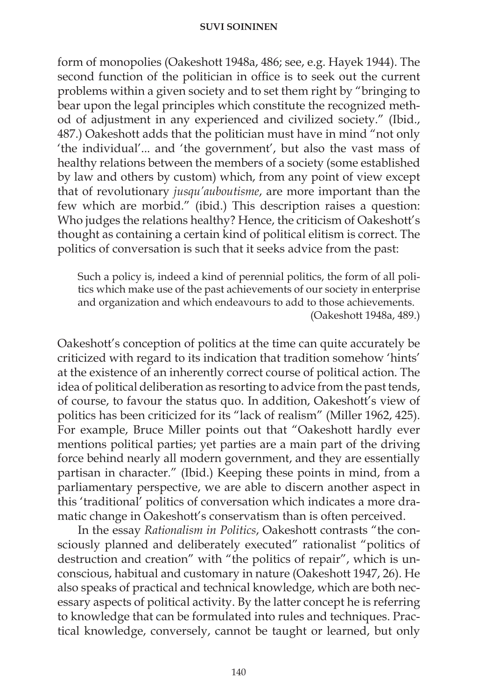form of monopolies (Oakeshott 1948a, 486; see, e.g. Hayek 1944). The second function of the politician in office is to seek out the current problems within a given society and to set them right by "bringing to bear upon the legal principles which constitute the recognized method of adjustment in any experienced and civilized society." (Ibid., 487.) Oakeshott adds that the politician must have in mind "not only 'the individual'... and 'the government', but also the vast mass of healthy relations between the members of a society (some established by law and others by custom) which, from any point of view except that of revolutionary *jusqu'auboutisme*, are more important than the few which are morbid." (ibid.) This description raises a question: Who judges the relations healthy? Hence, the criticism of Oakeshott's thought as containing a certain kind of political elitism is correct. The politics of conversation is such that it seeks advice from the past:

Such a policy is, indeed a kind of perennial politics, the form of all politics which make use of the past achievements of our society in enterprise and organization and which endeavours to add to those achievements. (Oakeshott 1948a, 489.)

Oakeshott's conception of politics at the time can quite accurately be criticized with regard to its indication that tradition somehow 'hints' at the existence of an inherently correct course of political action. The idea of political deliberation as resorting to advice from the past tends, of course, to favour the status quo. In addition, Oakeshott's view of politics has been criticized for its "lack of realism" (Miller 1962, 425). For example, Bruce Miller points out that "Oakeshott hardly ever mentions political parties; yet parties are a main part of the driving force behind nearly all modern government, and they are essentially partisan in character." (Ibid.) Keeping these points in mind, from a parliamentary perspective, we are able to discern another aspect in this 'traditional' politics of conversation which indicates a more dramatic change in Oakeshott's conservatism than is often perceived.

In the essay *Rationalism in Politics*, Oakeshott contrasts "the consciously planned and deliberately executed" rationalist "politics of destruction and creation" with "the politics of repair", which is unconscious, habitual and customary in nature (Oakeshott 1947, 26). He also speaks of practical and technical knowledge, which are both necessary aspects of political activity. By the latter concept he is referring to knowledge that can be formulated into rules and techniques. Practical knowledge, conversely, cannot be taught or learned, but only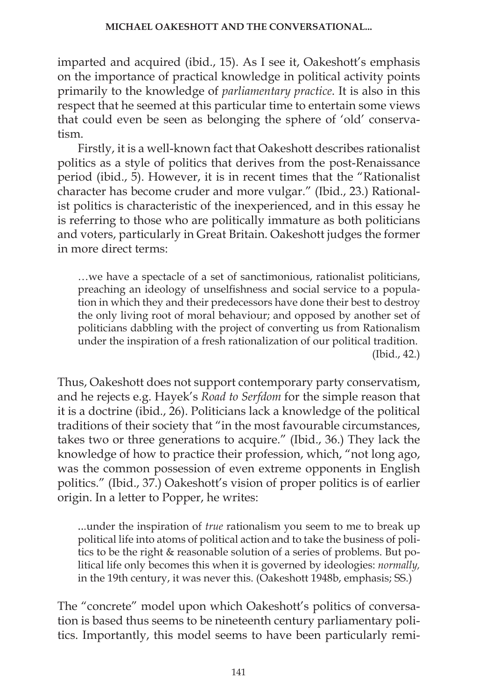imparted and acquired (ibid., 15). As I see it, Oakeshott's emphasis on the importance of practical knowledge in political activity points primarily to the knowledge of *parliamentary practice*. It is also in this respect that he seemed at this particular time to entertain some views that could even be seen as belonging the sphere of 'old' conservatism.

Firstly, it is a well-known fact that Oakeshott describes rationalist politics as a style of politics that derives from the post-Renaissance period (ibid., 5). However, it is in recent times that the "Rationalist character has become cruder and more vulgar." (Ibid., 23.) Rationalist politics is characteristic of the inexperienced, and in this essay he is referring to those who are politically immature as both politicians and voters, particularly in Great Britain. Oakeshott judges the former in more direct terms:

…we have a spectacle of a set of sanctimonious, rationalist politicians, preaching an ideology of unselfishness and social service to a population in which they and their predecessors have done their best to destroy the only living root of moral behaviour; and opposed by another set of politicians dabbling with the project of converting us from Rationalism under the inspiration of a fresh rationalization of our political tradition. (Ibid., 42.)

Thus, Oakeshott does not support contemporary party conservatism, and he rejects e.g. Hayek's *Road to Serfdom* for the simple reason that it is a doctrine (ibid., 26). Politicians lack a knowledge of the political traditions of their society that "in the most favourable circumstances, takes two or three generations to acquire." (Ibid., 36.) They lack the knowledge of how to practice their profession, which, "not long ago, was the common possession of even extreme opponents in English politics." (Ibid., 37.) Oakeshott's vision of proper politics is of earlier origin. In a letter to Popper, he writes:

...under the inspiration of *true* rationalism you seem to me to break up political life into atoms of political action and to take the business of politics to be the right & reasonable solution of a series of problems. But political life only becomes this when it is governed by ideologies: *normally,* in the 19th century, it was never this. (Oakeshott 1948b, emphasis; SS.)

The "concrete" model upon which Oakeshott's politics of conversation is based thus seems to be nineteenth century parliamentary politics. Importantly, this model seems to have been particularly remi-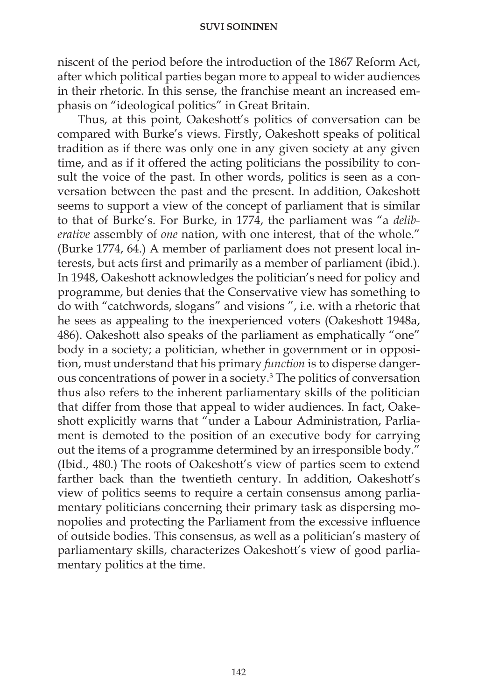niscent of the period before the introduction of the 1867 Reform Act, after which political parties began more to appeal to wider audiences in their rhetoric. In this sense, the franchise meant an increased emphasis on "ideological politics" in Great Britain.

Thus, at this point, Oakeshott's politics of conversation can be compared with Burke's views. Firstly, Oakeshott speaks of political tradition as if there was only one in any given society at any given time, and as if it offered the acting politicians the possibility to consult the voice of the past. In other words, politics is seen as a conversation between the past and the present. In addition, Oakeshott seems to support a view of the concept of parliament that is similar to that of Burke's. For Burke, in 1774, the parliament was "a *deliberative* assembly of *one* nation, with one interest, that of the whole." (Burke 1774, 64.) A member of parliament does not present local interests, but acts first and primarily as a member of parliament (ibid.). In 1948, Oakeshott acknowledges the politician's need for policy and programme, but denies that the Conservative view has something to do with "catchwords, slogans" and visions ", i.e. with a rhetoric that he sees as appealing to the inexperienced voters (Oakeshott 1948a, 486). Oakeshott also speaks of the parliament as emphatically "one" body in a society; a politician, whether in government or in opposition, must understand that his primary *function* is to disperse dangerous concentrations of power in a society.3 The politics of conversation thus also refers to the inherent parliamentary skills of the politician that differ from those that appeal to wider audiences. In fact, Oakeshott explicitly warns that "under a Labour Administration, Parliament is demoted to the position of an executive body for carrying out the items of a programme determined by an irresponsible body." (Ibid., 480.) The roots of Oakeshott's view of parties seem to extend farther back than the twentieth century. In addition, Oakeshott's view of politics seems to require a certain consensus among parliamentary politicians concerning their primary task as dispersing monopolies and protecting the Parliament from the excessive influence of outside bodies. This consensus, as well as a politician's mastery of parliamentary skills, characterizes Oakeshott's view of good parliamentary politics at the time.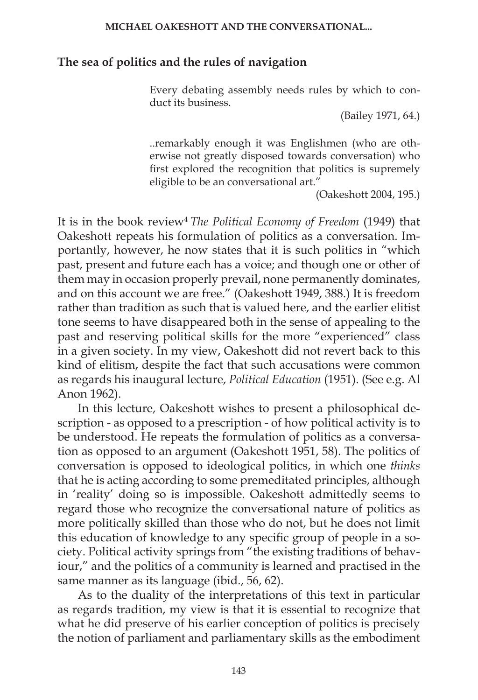## **MICHAEL OAKESHOTT AND THE CONVERSATIONAL...**

## **The sea of politics and the rules of navigation**

Every debating assembly needs rules by which to conduct its business.

(Bailey 1971, 64.)

..remarkably enough it was Englishmen (who are otherwise not greatly disposed towards conversation) who first explored the recognition that politics is supremely eligible to be an conversational art."

(Oakeshott 2004, 195.)

It is in the book review4 *The Political Economy of Freedom* (1949) that Oakeshott repeats his formulation of politics as a conversation. Importantly, however, he now states that it is such politics in "which past, present and future each has a voice; and though one or other of them may in occasion properly prevail, none permanently dominates, and on this account we are free." (Oakeshott 1949, 388.) It is freedom rather than tradition as such that is valued here, and the earlier elitist tone seems to have disappeared both in the sense of appealing to the past and reserving political skills for the more "experienced" class in a given society. In my view, Oakeshott did not revert back to this kind of elitism, despite the fact that such accusations were common as regards his inaugural lecture, *Political Education* (1951). (See e.g. Al Anon 1962).

In this lecture, Oakeshott wishes to present a philosophical description - as opposed to a prescription - of how political activity is to be understood. He repeats the formulation of politics as a conversation as opposed to an argument (Oakeshott 1951, 58). The politics of conversation is opposed to ideological politics, in which one *thinks*  that he is acting according to some premeditated principles, although in 'reality' doing so is impossible. Oakeshott admittedly seems to regard those who recognize the conversational nature of politics as more politically skilled than those who do not, but he does not limit this education of knowledge to any specific group of people in a society. Political activity springs from "the existing traditions of behaviour," and the politics of a community is learned and practised in the same manner as its language (ibid., 56, 62).

As to the duality of the interpretations of this text in particular as regards tradition, my view is that it is essential to recognize that what he did preserve of his earlier conception of politics is precisely the notion of parliament and parliamentary skills as the embodiment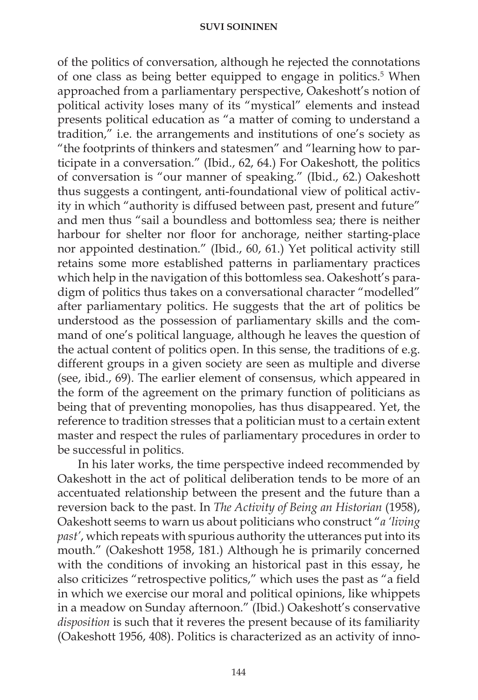of the politics of conversation, although he rejected the connotations of one class as being better equipped to engage in politics.<sup>5</sup> When approached from a parliamentary perspective, Oakeshott's notion of political activity loses many of its "mystical" elements and instead presents political education as "a matter of coming to understand a tradition," i.e. the arrangements and institutions of one's society as "the footprints of thinkers and statesmen" and "learning how to participate in a conversation." (Ibid., 62, 64.) For Oakeshott, the politics of conversation is "our manner of speaking." (Ibid., 62.) Oakeshott thus suggests a contingent, anti-foundational view of political activity in which "authority is diffused between past, present and future" and men thus "sail a boundless and bottomless sea; there is neither harbour for shelter nor floor for anchorage, neither starting-place nor appointed destination." (Ibid., 60, 61.) Yet political activity still retains some more established patterns in parliamentary practices which help in the navigation of this bottomless sea. Oakeshott's paradigm of politics thus takes on a conversational character "modelled" after parliamentary politics. He suggests that the art of politics be understood as the possession of parliamentary skills and the command of one's political language, although he leaves the question of the actual content of politics open. In this sense, the traditions of e.g. different groups in a given society are seen as multiple and diverse (see, ibid., 69). The earlier element of consensus, which appeared in the form of the agreement on the primary function of politicians as being that of preventing monopolies, has thus disappeared. Yet, the reference to tradition stresses that a politician must to a certain extent master and respect the rules of parliamentary procedures in order to be successful in politics.

In his later works, the time perspective indeed recommended by Oakeshott in the act of political deliberation tends to be more of an accentuated relationship between the present and the future than a reversion back to the past. In *The Activity of Being an Historian* (1958), Oakeshott seems to warn us about politicians who construct "*a 'living past'*, which repeats with spurious authority the utterances put into its mouth." (Oakeshott 1958, 181.) Although he is primarily concerned with the conditions of invoking an historical past in this essay, he also criticizes "retrospective politics," which uses the past as "a field in which we exercise our moral and political opinions, like whippets in a meadow on Sunday afternoon." (Ibid.) Oakeshott's conservative *disposition* is such that it reveres the present because of its familiarity (Oakeshott 1956, 408). Politics is characterized as an activity of inno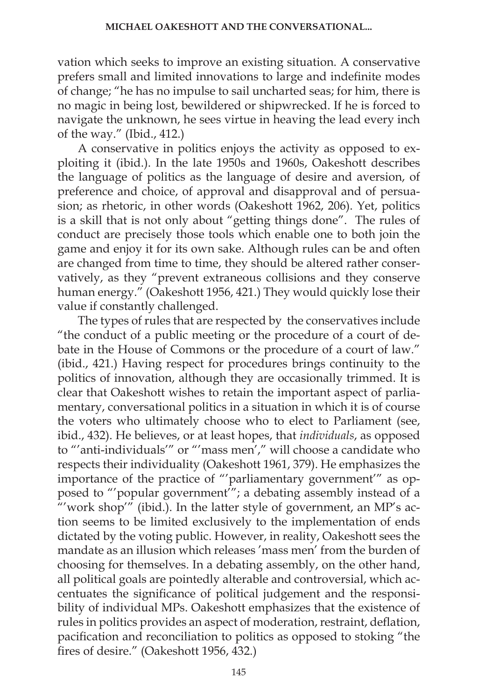vation which seeks to improve an existing situation. A conservative prefers small and limited innovations to large and indefinite modes of change; "he has no impulse to sail uncharted seas; for him, there is no magic in being lost, bewildered or shipwrecked. If he is forced to navigate the unknown, he sees virtue in heaving the lead every inch of the way." (Ibid., 412.)

A conservative in politics enjoys the activity as opposed to exploiting it (ibid.). In the late 1950s and 1960s, Oakeshott describes the language of politics as the language of desire and aversion, of preference and choice, of approval and disapproval and of persuasion; as rhetoric, in other words (Oakeshott 1962, 206). Yet, politics is a skill that is not only about "getting things done". The rules of conduct are precisely those tools which enable one to both join the game and enjoy it for its own sake. Although rules can be and often are changed from time to time, they should be altered rather conservatively, as they "prevent extraneous collisions and they conserve human energy." (Oakeshott 1956, 421.) They would quickly lose their value if constantly challenged.

The types of rules that are respected by the conservatives include "the conduct of a public meeting or the procedure of a court of debate in the House of Commons or the procedure of a court of law." (ibid., 421.) Having respect for procedures brings continuity to the politics of innovation, although they are occasionally trimmed. It is clear that Oakeshott wishes to retain the important aspect of parliamentary, conversational politics in a situation in which it is of course the voters who ultimately choose who to elect to Parliament (see, ibid., 432). He believes, or at least hopes, that *individuals*, as opposed to "'anti-individuals'" or "'mass men'," will choose a candidate who respects their individuality (Oakeshott 1961, 379). He emphasizes the importance of the practice of "'parliamentary government'" as opposed to "'popular government'"; a debating assembly instead of a "'work shop'" (ibid.). In the latter style of government, an MP's action seems to be limited exclusively to the implementation of ends dictated by the voting public. However, in reality, Oakeshott sees the mandate as an illusion which releases 'mass men' from the burden of choosing for themselves. In a debating assembly, on the other hand, all political goals are pointedly alterable and controversial, which accentuates the significance of political judgement and the responsibility of individual MPs. Oakeshott emphasizes that the existence of rules in politics provides an aspect of moderation, restraint, deflation, pacification and reconciliation to politics as opposed to stoking "the fires of desire." (Oakeshott 1956, 432.)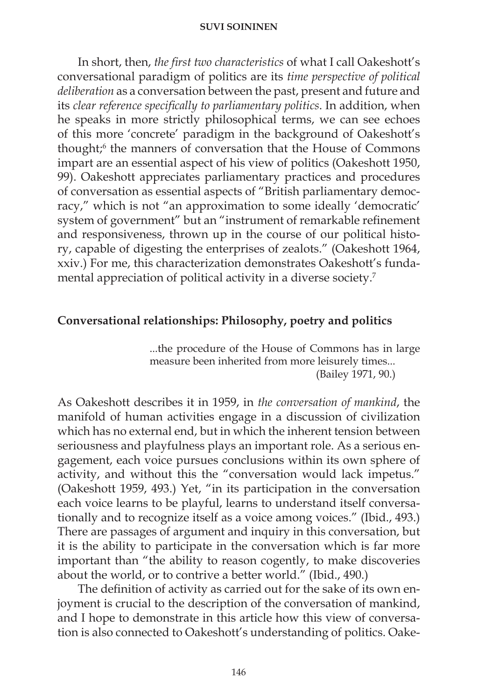In short, then, *the first two characteristics* of what I call Oakeshott's conversational paradigm of politics are its *time perspective of political deliberation* as a conversation between the past, present and future and its *clear reference specifically to parliamentary politics*. In addition, when he speaks in more strictly philosophical terms, we can see echoes of this more 'concrete' paradigm in the background of Oakeshott's thought;<sup>6</sup> the manners of conversation that the House of Commons impart are an essential aspect of his view of politics (Oakeshott 1950, 99). Oakeshott appreciates parliamentary practices and procedures of conversation as essential aspects of "British parliamentary democracy," which is not "an approximation to some ideally 'democratic' system of government" but an "instrument of remarkable refinement and responsiveness, thrown up in the course of our political history, capable of digesting the enterprises of zealots." (Oakeshott 1964, xxiv.) For me, this characterization demonstrates Oakeshott's fundamental appreciation of political activity in a diverse society.7

## **Conversational relationships: Philosophy, poetry and politics**

...the procedure of the House of Commons has in large measure been inherited from more leisurely times... (Bailey 1971, 90.)

As Oakeshott describes it in 1959, in *the conversation of mankind*, the manifold of human activities engage in a discussion of civilization which has no external end, but in which the inherent tension between seriousness and playfulness plays an important role. As a serious engagement, each voice pursues conclusions within its own sphere of activity, and without this the "conversation would lack impetus." (Oakeshott 1959, 493.) Yet, "in its participation in the conversation each voice learns to be playful, learns to understand itself conversationally and to recognize itself as a voice among voices." (Ibid., 493.) There are passages of argument and inquiry in this conversation, but it is the ability to participate in the conversation which is far more important than "the ability to reason cogently, to make discoveries about the world, or to contrive a better world." (Ibid., 490.)

The definition of activity as carried out for the sake of its own enjoyment is crucial to the description of the conversation of mankind, and I hope to demonstrate in this article how this view of conversation is also connected to Oakeshott's understanding of politics. Oake-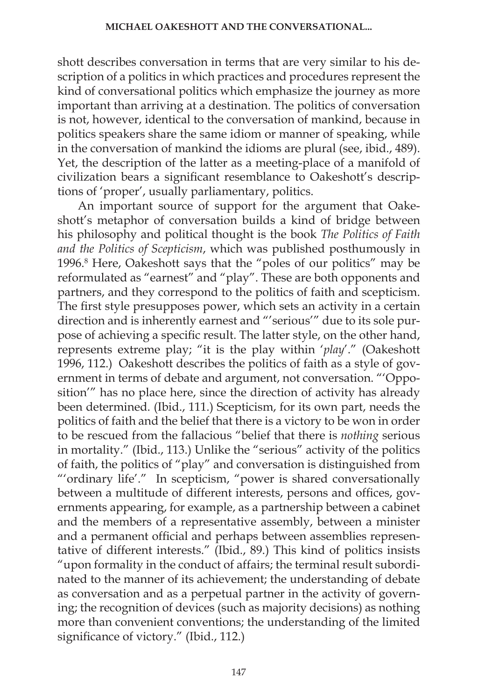shott describes conversation in terms that are very similar to his description of a politics in which practices and procedures represent the kind of conversational politics which emphasize the journey as more important than arriving at a destination. The politics of conversation is not, however, identical to the conversation of mankind, because in politics speakers share the same idiom or manner of speaking, while in the conversation of mankind the idioms are plural (see, ibid., 489). Yet, the description of the latter as a meeting-place of a manifold of civilization bears a significant resemblance to Oakeshott's descriptions of 'proper', usually parliamentary, politics.

An important source of support for the argument that Oakeshott's metaphor of conversation builds a kind of bridge between his philosophy and political thought is the book *The Politics of Faith and the Politics of Scepticism*, which was published posthumously in 1996.8 Here, Oakeshott says that the "poles of our politics" may be reformulated as "earnest" and "play". These are both opponents and partners, and they correspond to the politics of faith and scepticism. The first style presupposes power, which sets an activity in a certain direction and is inherently earnest and "'serious'" due to its sole purpose of achieving a specific result. The latter style, on the other hand, represents extreme play; "it is the play within '*play*'." (Oakeshott 1996, 112.) Oakeshott describes the politics of faith as a style of government in terms of debate and argument, not conversation. "'Opposition'" has no place here, since the direction of activity has already been determined. (Ibid., 111.) Scepticism, for its own part, needs the politics of faith and the belief that there is a victory to be won in order to be rescued from the fallacious "belief that there is *nothing* serious in mortality." (Ibid., 113.) Unlike the "serious" activity of the politics of faith, the politics of "play" and conversation is distinguished from "'ordinary life'." In scepticism, "power is shared conversationally between a multitude of different interests, persons and offices, governments appearing, for example, as a partnership between a cabinet and the members of a representative assembly, between a minister and a permanent official and perhaps between assemblies representative of different interests." (Ibid., 89.) This kind of politics insists "upon formality in the conduct of affairs; the terminal result subordinated to the manner of its achievement; the understanding of debate as conversation and as a perpetual partner in the activity of governing; the recognition of devices (such as majority decisions) as nothing more than convenient conventions; the understanding of the limited significance of victory." (Ibid., 112.)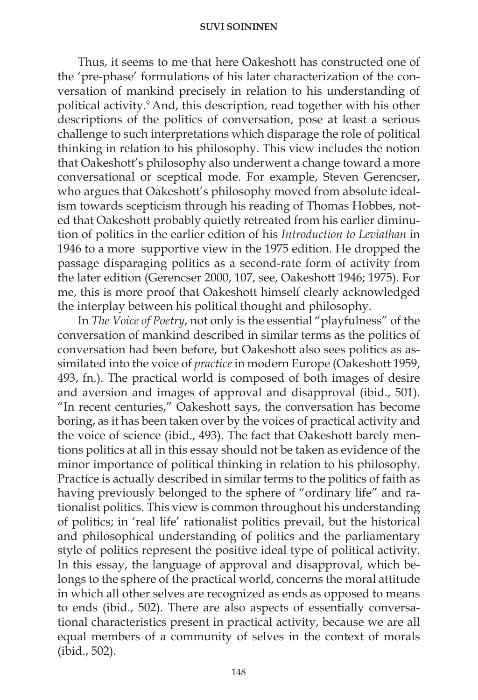Thus, it seems to me that here Oakeshott has constructed one of the 'pre-phase' formulations of his later characterization of the conversation of mankind precisely in relation to his understanding of political activity.<sup>9</sup> And, this description, read together with his other descriptions of the politics of conversation, pose at least a serious challenge to such interpretations which disparage the role of political thinking in relation to his philosophy. This view includes the notion that Oakeshott's philosophy also underwent a change toward a more conversational or sceptical mode. For example, Steven Gerencser, who argues that Oakeshott's philosophy moved from absolute idealism towards scepticism through his reading of Thomas Hobbes, noted that Oakeshott probably quietly retreated from his earlier diminution of politics in the earlier edition of his *Introduction to Leviathan* in 1946 to a more supportive view in the 1975 edition. He dropped the passage disparaging politics as a second-rate form of activity from the later edition (Gerencser 2000, 107, see, Oakeshott 1946; 1975). For me, this is more proof that Oakeshott himself clearly acknowledged the interplay between his political thought and philosophy.

In *The Voice of Poetry*, not only is the essential "playfulness" of the conversation of mankind described in similar terms as the politics of conversation had been before, but Oakeshott also sees politics as assimilated into the voice of *practice* in modern Europe (Oakeshott 1959, 493, fn.). The practical world is composed of both images of desire and aversion and images of approval and disapproval (ibid., 501). "In recent centuries," Oakeshott says, the conversation has become boring, as it has been taken over by the voices of practical activity and the voice of science (ibid., 493). The fact that Oakeshott barely mentions politics at all in this essay should not be taken as evidence of the minor importance of political thinking in relation to his philosophy. Practice is actually described in similar terms to the politics of faith as having previously belonged to the sphere of "ordinary life" and rationalist politics. This view is common throughout his understanding of politics; in 'real life' rationalist politics prevail, but the historical and philosophical understanding of politics and the parliamentary style of politics represent the positive ideal type of political activity. In this essay, the language of approval and disapproval, which belongs to the sphere of the practical world, concerns the moral attitude in which all other selves are recognized as ends as opposed to means to ends (ibid., 502). There are also aspects of essentially conversational characteristics present in practical activity, because we are all equal members of a community of selves in the context of morals (ibid., 502).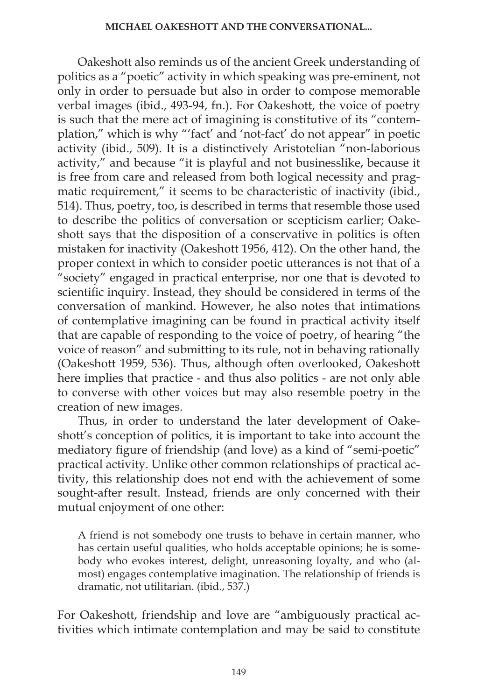## **MICHAEL OAKESHOTT AND THE CONVERSATIONAL...**

Oakeshott also reminds us of the ancient Greek understanding of politics as a "poetic" activity in which speaking was pre-eminent, not only in order to persuade but also in order to compose memorable verbal images (ibid., 493-94, fn.). For Oakeshott, the voice of poetry is such that the mere act of imagining is constitutive of its "contemplation," which is why "'fact' and 'not-fact' do not appear" in poetic activity (ibid., 509). It is a distinctively Aristotelian "non-laborious activity," and because "it is playful and not businesslike, because it is free from care and released from both logical necessity and pragmatic requirement," it seems to be characteristic of inactivity (ibid., 514). Thus, poetry, too, is described in terms that resemble those used to describe the politics of conversation or scepticism earlier; Oakeshott says that the disposition of a conservative in politics is often mistaken for inactivity (Oakeshott 1956, 412). On the other hand, the proper context in which to consider poetic utterances is not that of a "society" engaged in practical enterprise, nor one that is devoted to scientific inquiry. Instead, they should be considered in terms of the conversation of mankind. However, he also notes that intimations of contemplative imagining can be found in practical activity itself that are capable of responding to the voice of poetry, of hearing "the voice of reason" and submitting to its rule, not in behaving rationally (Oakeshott 1959, 536). Thus, although often overlooked, Oakeshott here implies that practice - and thus also politics - are not only able to converse with other voices but may also resemble poetry in the creation of new images.

Thus, in order to understand the later development of Oakeshott's conception of politics, it is important to take into account the mediatory figure of friendship (and love) as a kind of "semi-poetic" practical activity. Unlike other common relationships of practical activity, this relationship does not end with the achievement of some sought-after result. Instead, friends are only concerned with their mutual enjoyment of one other:

A friend is not somebody one trusts to behave in certain manner, who has certain useful qualities, who holds acceptable opinions; he is somebody who evokes interest, delight, unreasoning loyalty, and who (almost) engages contemplative imagination. The relationship of friends is dramatic, not utilitarian. (ibid., 537.)

For Oakeshott, friendship and love are "ambiguously practical activities which intimate contemplation and may be said to constitute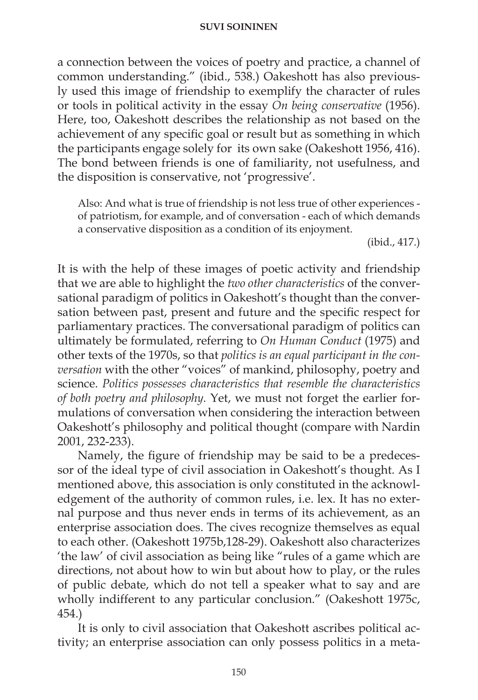a connection between the voices of poetry and practice, a channel of common understanding." (ibid., 538.) Oakeshott has also previously used this image of friendship to exemplify the character of rules or tools in political activity in the essay *On being conservative* (1956). Here, too, Oakeshott describes the relationship as not based on the achievement of any specific goal or result but as something in which the participants engage solely for its own sake (Oakeshott 1956, 416). The bond between friends is one of familiarity, not usefulness, and the disposition is conservative, not 'progressive'.

Also: And what is true of friendship is not less true of other experiences of patriotism, for example, and of conversation - each of which demands a conservative disposition as a condition of its enjoyment.

(ibid., 417.)

It is with the help of these images of poetic activity and friendship that we are able to highlight the *two other characteristics* of the conversational paradigm of politics in Oakeshott's thought than the conversation between past, present and future and the specific respect for parliamentary practices. The conversational paradigm of politics can ultimately be formulated, referring to *On Human Conduct* (1975) and other texts of the 1970s, so that *politics is an equal participant in the conversation* with the other "voices" of mankind, philosophy, poetry and science. *Politics possesses characteristics that resemble the characteristics of both poetry and philosophy.* Yet, we must not forget the earlier formulations of conversation when considering the interaction between Oakeshott's philosophy and political thought (compare with Nardin 2001, 232-233).

Namely, the figure of friendship may be said to be a predecessor of the ideal type of civil association in Oakeshott's thought. As I mentioned above, this association is only constituted in the acknowledgement of the authority of common rules, i.e. lex. It has no external purpose and thus never ends in terms of its achievement, as an enterprise association does. The cives recognize themselves as equal to each other. (Oakeshott 1975b,128-29). Oakeshott also characterizes 'the law' of civil association as being like "rules of a game which are directions, not about how to win but about how to play, or the rules of public debate, which do not tell a speaker what to say and are wholly indifferent to any particular conclusion." (Oakeshott 1975c, 454.)

It is only to civil association that Oakeshott ascribes political activity; an enterprise association can only possess politics in a meta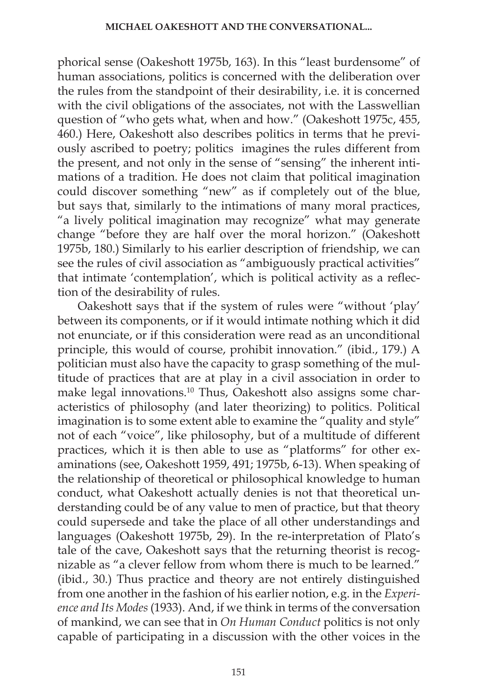phorical sense (Oakeshott 1975b, 163). In this "least burdensome" of human associations, politics is concerned with the deliberation over the rules from the standpoint of their desirability, i.e. it is concerned with the civil obligations of the associates, not with the Lasswellian question of "who gets what, when and how." (Oakeshott 1975c, 455, 460.) Here, Oakeshott also describes politics in terms that he previously ascribed to poetry; politics imagines the rules different from the present, and not only in the sense of "sensing" the inherent intimations of a tradition. He does not claim that political imagination could discover something "new" as if completely out of the blue, but says that, similarly to the intimations of many moral practices, "a lively political imagination may recognize" what may generate change "before they are half over the moral horizon." (Oakeshott 1975b, 180.) Similarly to his earlier description of friendship, we can see the rules of civil association as "ambiguously practical activities" that intimate 'contemplation', which is political activity as a reflection of the desirability of rules.

Oakeshott says that if the system of rules were "without 'play' between its components, or if it would intimate nothing which it did not enunciate, or if this consideration were read as an unconditional principle, this would of course, prohibit innovation." (ibid., 179.) A politician must also have the capacity to grasp something of the multitude of practices that are at play in a civil association in order to make legal innovations.10 Thus, Oakeshott also assigns some characteristics of philosophy (and later theorizing) to politics. Political imagination is to some extent able to examine the "quality and style" not of each "voice", like philosophy, but of a multitude of different practices, which it is then able to use as "platforms" for other examinations (see, Oakeshott 1959, 491; 1975b, 6-13). When speaking of the relationship of theoretical or philosophical knowledge to human conduct, what Oakeshott actually denies is not that theoretical understanding could be of any value to men of practice, but that theory could supersede and take the place of all other understandings and languages (Oakeshott 1975b, 29). In the re-interpretation of Plato's tale of the cave, Oakeshott says that the returning theorist is recognizable as "a clever fellow from whom there is much to be learned." (ibid., 30.) Thus practice and theory are not entirely distinguished from one another in the fashion of his earlier notion, e.g. in the *Experience and Its Modes* (1933). And, if we think in terms of the conversation of mankind, we can see that in *On Human Conduct* politics is not only capable of participating in a discussion with the other voices in the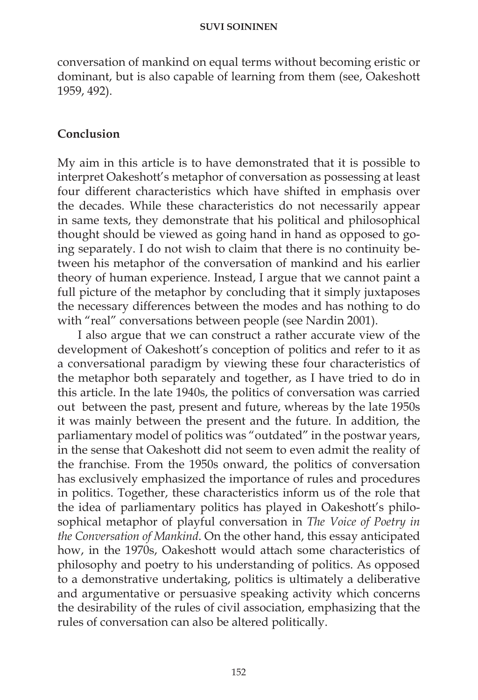conversation of mankind on equal terms without becoming eristic or dominant, but is also capable of learning from them (see, Oakeshott 1959, 492).

## **Conclusion**

My aim in this article is to have demonstrated that it is possible to interpret Oakeshott's metaphor of conversation as possessing at least four different characteristics which have shifted in emphasis over the decades. While these characteristics do not necessarily appear in same texts, they demonstrate that his political and philosophical thought should be viewed as going hand in hand as opposed to going separately. I do not wish to claim that there is no continuity between his metaphor of the conversation of mankind and his earlier theory of human experience. Instead, I argue that we cannot paint a full picture of the metaphor by concluding that it simply juxtaposes the necessary differences between the modes and has nothing to do with "real" conversations between people (see Nardin 2001).

I also argue that we can construct a rather accurate view of the development of Oakeshott's conception of politics and refer to it as a conversational paradigm by viewing these four characteristics of the metaphor both separately and together, as I have tried to do in this article. In the late 1940s, the politics of conversation was carried out between the past, present and future, whereas by the late 1950s it was mainly between the present and the future. In addition, the parliamentary model of politics was "outdated" in the postwar years, in the sense that Oakeshott did not seem to even admit the reality of the franchise. From the 1950s onward, the politics of conversation has exclusively emphasized the importance of rules and procedures in politics. Together, these characteristics inform us of the role that the idea of parliamentary politics has played in Oakeshott's philosophical metaphor of playful conversation in *The Voice of Poetry in the Conversation of Mankind*. On the other hand, this essay anticipated how, in the 1970s, Oakeshott would attach some characteristics of philosophy and poetry to his understanding of politics. As opposed to a demonstrative undertaking, politics is ultimately a deliberative and argumentative or persuasive speaking activity which concerns the desirability of the rules of civil association, emphasizing that the rules of conversation can also be altered politically.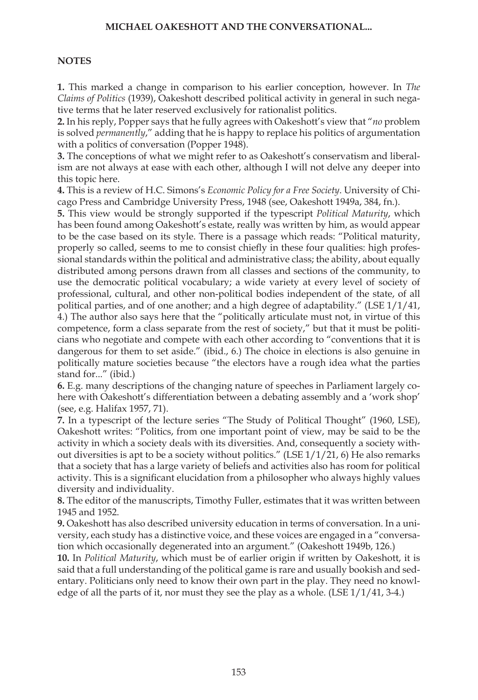## **MICHAEL OAKESHOTT AND THE CONVERSATIONAL...**

## **NOTES**

**1.** This marked a change in comparison to his earlier conception, however. In *The Claims of Politics* (1939), Oakeshott described political activity in general in such negative terms that he later reserved exclusively for rationalist politics.

**2.** In his reply, Popper says that he fully agrees with Oakeshott's view that "*no* problem is solved *permanently*," adding that he is happy to replace his politics of argumentation with a politics of conversation (Popper 1948).

**3.** The conceptions of what we might refer to as Oakeshott's conservatism and liberalism are not always at ease with each other, although I will not delve any deeper into this topic here.

**4.** This is a review of H.C. Simons's *Economic Policy for a Free Society*. University of Chicago Press and Cambridge University Press, 1948 (see, Oakeshott 1949a, 384, fn.).

**5.** This view would be strongly supported if the typescript *Political Maturity*, which has been found among Oakeshott's estate, really was written by him, as would appear to be the case based on its style. There is a passage which reads: "Political maturity, properly so called, seems to me to consist chiefly in these four qualities: high professional standards within the political and administrative class; the ability, about equally distributed among persons drawn from all classes and sections of the community, to use the democratic political vocabulary; a wide variety at every level of society of professional, cultural, and other non-political bodies independent of the state, of all political parties, and of one another; and a high degree of adaptability." (LSE 1/1/41, 4.) The author also says here that the "politically articulate must not, in virtue of this competence, form a class separate from the rest of society," but that it must be politicians who negotiate and compete with each other according to "conventions that it is dangerous for them to set aside." (ibid., 6.) The choice in elections is also genuine in politically mature societies because "the electors have a rough idea what the parties stand for..." (ibid.)

**6.** E.g. many descriptions of the changing nature of speeches in Parliament largely cohere with Oakeshott's differentiation between a debating assembly and a 'work shop' (see, e.g. Halifax 1957, 71).

**7.** In a typescript of the lecture series "The Study of Political Thought" (1960, LSE), Oakeshott writes: "Politics, from one important point of view, may be said to be the activity in which a society deals with its diversities. And, consequently a society without diversities is apt to be a society without politics." (LSE  $1/1/21$ , 6) He also remarks that a society that has a large variety of beliefs and activities also has room for political activity. This is a significant elucidation from a philosopher who always highly values diversity and individuality.

**8.** The editor of the manuscripts, Timothy Fuller, estimates that it was written between 1945 and 1952.

**9.** Oakeshott has also described university education in terms of conversation. In a university, each study has a distinctive voice, and these voices are engaged in a "conversation which occasionally degenerated into an argument." (Oakeshott 1949b, 126.)

**10.** In *Political Maturity*, which must be of earlier origin if written by Oakeshott, it is said that a full understanding of the political game is rare and usually bookish and sedentary. Politicians only need to know their own part in the play. They need no knowledge of all the parts of it, nor must they see the play as a whole. (LSE 1/1/41, 3-4.)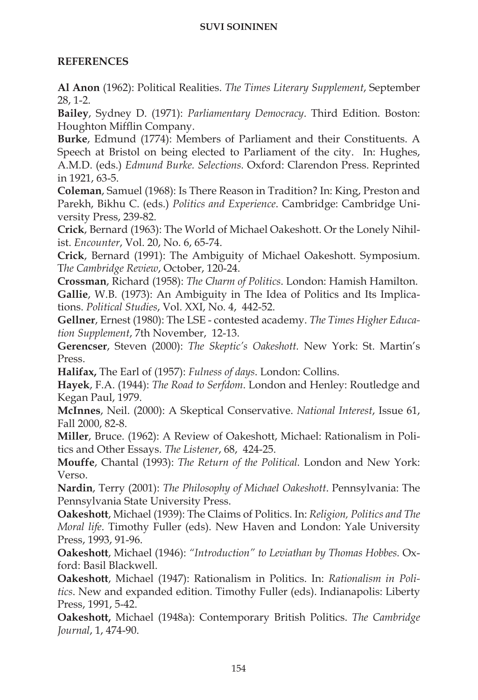## **REFERENCES**

**Al Anon** (1962): Political Realities. *The Times Literary Supplement*, September 28, 1-2.

**Bailey**, Sydney D. (1971): *Parliamentary Democracy*. Third Edition. Boston: Houghton Mifflin Company.

**Burke**, Edmund (1774): Members of Parliament and their Constituents. A Speech at Bristol on being elected to Parliament of the city. In: Hughes, A.M.D. (eds.) *Edmund Burke. Selections.* Oxford: Clarendon Press. Reprinted in 1921, 63-5.

**Coleman**, Samuel (1968): Is There Reason in Tradition? In: King, Preston and Parekh, Bikhu C. (eds.) *Politics and Experience*. Cambridge: Cambridge University Press, 239-82.

**Crick**, Bernard (1963): The World of Michael Oakeshott. Or the Lonely Nihilist. *Encounter*, Vol. 20, No. 6, 65-74.

**Crick**, Bernard (1991): The Ambiguity of Michael Oakeshott. Symposium. T*he Cambridge Review*, October, 120-24.

**Crossman**, Richard (1958): *The Charm of Politics*. London: Hamish Hamilton. **Gallie**, W.B. (1973): An Ambiguity in The Idea of Politics and Its Implications. *Political Studies*, Vol. XXI, No. 4, 442-52.

**Gellner**, Ernest (1980): The LSE - contested academy. *The Times Higher Education Supplement*, 7th November, 12-13.

**Gerencser**, Steven (2000): *The Skeptic's Oakeshott.* New York: St. Martin's Press.

**Halifax,** The Earl of (1957): *Fulness of days*. London: Collins.

**Hayek**, F.A. (1944): *The Road to Serfdom*. London and Henley: Routledge and Kegan Paul, 1979.

**McInnes**, Neil. (2000): A Skeptical Conservative. *National Interest*, Issue 61, Fall 2000, 82-8.

**Miller**, Bruce. (1962): A Review of Oakeshott, Michael: Rationalism in Politics and Other Essays. *The Listener*, 68, 424-25.

**Mouffe**, Chantal (1993): *The Return of the Political.* London and New York: Verso.

**Nardin**, Terry (2001): *The Philosophy of Michael Oakeshott*. Pennsylvania: The Pennsylvania State University Press.

**Oakeshott**, Michael (1939): The Claims of Politics. In: *Religion, Politics and The Moral life*. Timothy Fuller (eds). New Haven and London: Yale University Press, 1993, 91-96.

**Oakeshott**, Michael (1946): *"Introduction" to Leviathan by Thomas Hobbes.* Oxford: Basil Blackwell.

**Oakeshott**, Michael (1947): Rationalism in Politics. In: *Rationalism in Politics*. New and expanded edition. Timothy Fuller (eds). Indianapolis: Liberty Press, 1991, 5-42.

**Oakeshott,** Michael (1948a): Contemporary British Politics. *The Cambridge Journal*, 1, 474-90.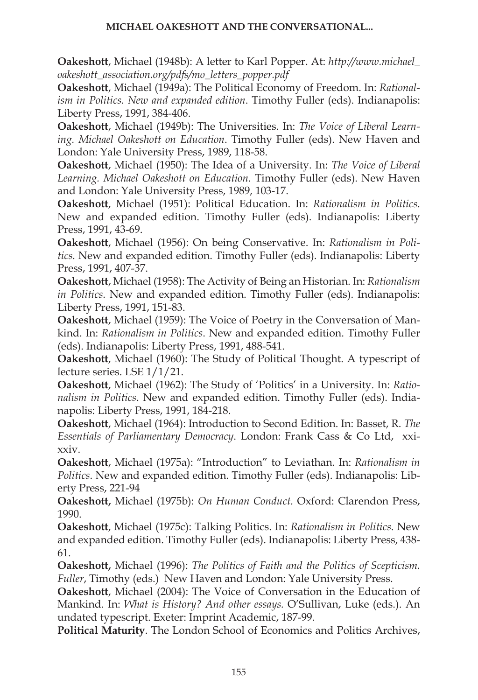**Oakeshott**, Michael (1948b): A letter to Karl Popper. At: *http://www.michael\_ oakeshott\_association.org/pdfs/mo\_letters\_popper.pdf*

**Oakeshott**, Michael (1949a): The Political Economy of Freedom. In: *Rationalism in Politics. New and expanded edition*. Timothy Fuller (eds). Indianapolis: Liberty Press, 1991, 384-406.

**Oakeshott**, Michael (1949b): The Universities. In: *The Voice of Liberal Learning. Michael Oakeshott on Education*. Timothy Fuller (eds). New Haven and London: Yale University Press, 1989, 118-58.

**Oakeshott**, Michael (1950): The Idea of a University. In: *The Voice of Liberal Learning. Michael Oakeshott on Education.* Timothy Fuller (eds). New Haven and London: Yale University Press, 1989, 103-17.

**Oakeshott**, Michael (1951): Political Education. In: *Rationalism in Politics*. New and expanded edition. Timothy Fuller (eds). Indianapolis: Liberty Press, 1991, 43-69.

**Oakeshott**, Michael (1956): On being Conservative. In: *Rationalism in Politics.* New and expanded edition. Timothy Fuller (eds). Indianapolis: Liberty Press, 1991, 407-37.

**Oakeshott**, Michael (1958): The Activity of Being an Historian. In: *Rationalism in Politics*. New and expanded edition. Timothy Fuller (eds). Indianapolis: Liberty Press, 1991, 151-83.

**Oakeshott**, Michael (1959): The Voice of Poetry in the Conversation of Mankind. In: *Rationalism in Politics*. New and expanded edition. Timothy Fuller (eds). Indianapolis: Liberty Press, 1991, 488-541.

**Oakeshott**, Michael (1960): The Study of Political Thought. A typescript of lecture series. LSE 1/1/21.

**Oakeshott**, Michael (1962): The Study of 'Politics' in a University. In: *Rationalism in Politics*. New and expanded edition. Timothy Fuller (eds). Indianapolis: Liberty Press, 1991, 184-218.

**Oakeshott**, Michael (1964): Introduction to Second Edition. In: Basset, R. *The Essentials of Parliamentary Democracy*. London: Frank Cass & Co Ltd, xxixxiv.

**Oakeshott**, Michael (1975a): "Introduction" to Leviathan. In: *Rationalism in Politics*. New and expanded edition. Timothy Fuller (eds). Indianapolis: Liberty Press, 221-94

**Oakeshott,** Michael (1975b): *On Human Conduct.* Oxford: Clarendon Press, 1990.

**Oakeshott**, Michael (1975c): Talking Politics. In: *Rationalism in Politics*. New and expanded edition. Timothy Fuller (eds). Indianapolis: Liberty Press, 438- 61.

**Oakeshott,** Michael (1996): *The Politics of Faith and the Politics of Scepticism. Fuller*, Timothy (eds.) New Haven and London: Yale University Press.

**Oakeshott**, Michael (2004): The Voice of Conversation in the Education of Mankind. In: *What is History? And other essays.* O'Sullivan, Luke (eds.). An undated typescript. Exeter: Imprint Academic, 187-99.

**Political Maturity**. The London School of Economics and Politics Archives,